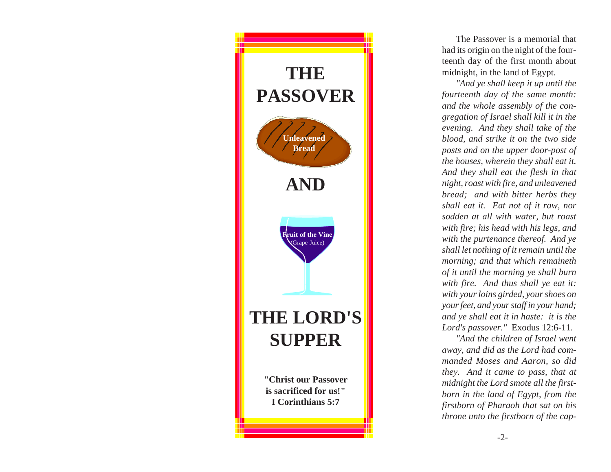

The Passover is a memorial that had its origin on the night of the fourteenth day of the first month about midnight, in the land of Egypt.

*"And ye shall keep it up until the fourteenth day of the same month: and the whole assembly of the congregation of Israel shall kill it in the evening. And they shall take of the blood, and strike it on the two side posts and on the upper door-post of the houses, wherein they shall eat it. And they shall eat the flesh in that night, roast with fire, and unleavened bread; and with bitter herbs they shall eat it. Eat not of it raw, nor sodden at all with water, but roast with fire; his head with his legs, and with the purtenance thereof. And ye shall let nothing of it remain until the morning; and that which remaineth of it until the morning ye shall burn with fire. And thus shall ye eat it: with your loins girded, your shoes on your feet, and your staff in your hand; and ye shall eat it in haste: it is the Lord's passover."* Exodus 12:6-11.

*"And the children of Israel went away, and did as the Lord had commanded Moses and Aaron, so did they. And it came to pass, that at midnight the Lord smote all the firstborn in the land of Egypt, from the firstborn of Pharaoh that sat on his throne unto the firstborn of the cap-*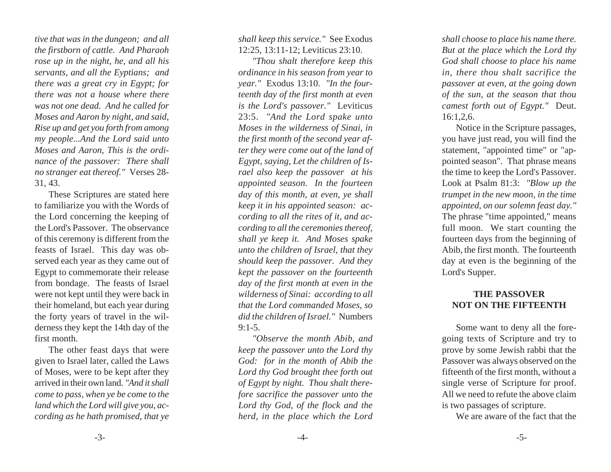*tive that was in the dungeon; and all the firstborn of cattle. And Pharaoh rose up in the night, he, and all his servants, and all the Eyptians; and there was a great cry in Egypt; for there was not a house where there was not one dead. And he called for Moses and Aaron by night, and said, Rise up and get you forth from among my people...And the Lord said unto Moses and Aaron, This is the ordinance of the passover: There shall no stranger eat thereof."* Verses 28- 31, 43.

These Scriptures are stated here to familiarize you with the Words of the Lord concerning the keeping of the Lord's Passover. The observance of this ceremony is different from the feasts of Israel. This day was observed each year as they came out of Egypt to commemorate their release from bondage. The feasts of Israel were not kept until they were back in their homeland, but each year during the forty years of travel in the wilderness they kept the 14th day of the first month.

The other feast days that were given to Israel later, called the Laws of Moses, were to be kept after they arrived in their own land. *"And it shall come to pass, when ye be come to the land which the Lord will give you, according as he hath promised, that ye*

*shall keep this service."* See Exodus 12:25, 13:11-12; Leviticus 23:10.

*"Thou shalt therefore keep this ordinance in his season from year to year."* Exodus 13:10. *"In the fourteenth day of the first month at even is the Lord's passover."* Leviticus 23:5. *"And the Lord spake unto Moses in the wilderness of Sinai, in the first month of the second year after they were come out of the land of Egypt, saying, Let the children of Israel also keep the passover at his appointed season. In the fourteen day of this month, at even, ye shall keep it in his appointed season: according to all the rites of it, and according to all the ceremonies thereof, shall ye keep it. And Moses spake unto the children of Israel, that they should keep the passover. And they kept the passover on the fourteenth day of the first month at even in the wilderness of Sinai: according to all that the Lord commanded Moses, so did the children of Israel."* Numbers  $9:1-5.$ 

*"Observe the month Abib, and keep the passover unto the Lord thy God: for in the month of Abib the Lord thy God brought thee forth out of Egypt by night. Thou shalt therefore sacrifice the passover unto the Lord thy God, of the flock and the herd, in the place which the Lord*

*shall choose to place his name there. But at the place which the Lord thy God shall choose to place his name in, there thou shalt sacrifice the passover at even, at the going down of the sun, at the season that thou camest forth out of Egypt."* Deut. 16:1,2,6.

Notice in the Scripture passages, you have just read, you will find the statement, "appointed time" or "appointed season". That phrase means the time to keep the Lord's Passover. Look at Psalm 81:3: *"Blow up the trumpet in the new moon, in the time appointed, on our solemn feast day."* The phrase "time appointed," means full moon. We start counting the fourteen days from the beginning of Abib, the first month. The fourteenth day at even is the beginning of the Lord's Supper.

## **THE PASSOVER NOT ON THE FIFTEENTH**

Some want to deny all the foregoing texts of Scripture and try to prove by some Jewish rabbi that the Passover was always observed on the fifteenth of the first month, without a single verse of Scripture for proof. All we need to refute the above claim is two passages of scripture.

We are aware of the fact that the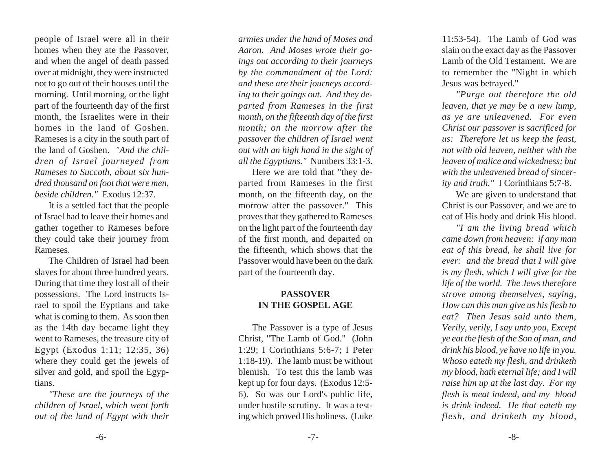people of Israel were all in their homes when they ate the Passover, and when the angel of death passed over at midnight, they were instructed not to go out of their houses until the morning. Until morning, or the light part of the fourteenth day of the first month, the Israelites were in their homes in the land of Goshen. Rameses is a city in the south part of the land of Goshen. *"And the children of Israel journeyed from Rameses to Succoth, about six hundred thousand on foot that were men, beside children."* Exodus 12:37.

It is a settled fact that the people of Israel had to leave their homes and gather together to Rameses before they could take their journey from Rameses.

The Children of Israel had been slaves for about three hundred years. During that time they lost all of their possessions. The Lord instructs Israel to spoil the Eyptians and take what is coming to them. As soon then as the 14th day became light they went to Rameses, the treasure city of Egypt (Exodus 1:11; 12:35, 36) where they could get the jewels of silver and gold, and spoil the Egyptians.

*"These are the journeys of the children of Israel, which went forth out of the land of Egypt with their*

*armies under the hand of Moses and Aaron. And Moses wrote their goings out according to their journeys by the commandment of the Lord: and these are their journeys according to their goings out. And they departed from Rameses in the first month, on the fifteenth day of the first month; on the morrow after the passover the children of Israel went out with an high hand in the sight of all the Egyptians."* Numbers 33:1-3.

Here we are told that "they departed from Rameses in the first month, on the fifteenth day, on the morrow after the passover." This proves that they gathered to Rameses on the light part of the fourteenth day of the first month, and departed on the fifteenth, which shows that the Passover would have been on the dark part of the fourteenth day.

## **PASSOVER IN THE GOSPEL AGE**

The Passover is a type of Jesus Christ, "The Lamb of God." (John 1:29; I Corinthians 5:6-7; I Peter 1:18-19). The lamb must be without blemish. To test this the lamb was kept up for four days. (Exodus 12:5- 6). So was our Lord's public life, under hostile scrutiny. It was a testing which proved His holiness. (Luke

11:53-54). The Lamb of God was slain on the exact day as the Passover Lamb of the Old Testament. We are to remember the "Night in which Jesus was betrayed."

*"Purge out therefore the old leaven, that ye may be a new lump, as ye are unleavened. For even Christ our passover is sacrificed for us: Therefore let us keep the feast, not with old leaven, neither with the leaven of malice and wickedness; but with the unleavened bread of sincerity and truth."* I Corinthians 5:7-8.

We are given to understand that Christ is our Passover, and we are to eat of His body and drink His blood.

*"I am the living bread which came down from heaven: if any man eat of this bread, he shall live for ever: and the bread that I will give is my flesh, which I will give for the life of the world. The Jews therefore strove among themselves, saying, How can this man give us his flesh to eat? Then Jesus said unto them, Verily, verily, I say unto you, Except ye eat the flesh of the Son of man, and drink his blood, ye have no life in you. Whoso eateth my flesh, and drinketh my blood, hath eternal life; and I will raise him up at the last day. For my flesh is meat indeed, and my blood is drink indeed. He that eateth my flesh, and drinketh my blood,*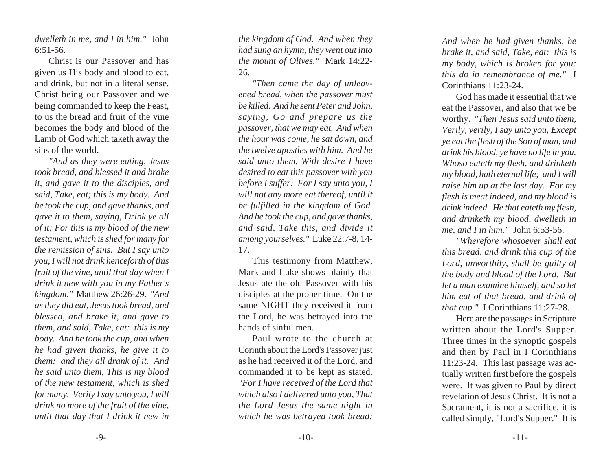*dwelleth in me, and I in him."* John 6:51-56.

Christ is our Passover and has given us His body and blood to eat, and drink, but not in a literal sense. Christ being our Passover and we being commanded to keep the Feast, to us the bread and fruit of the vine becomes the body and blood of the Lamb of God which taketh away the sins of the world.

*"And as they were eating, Jesus took bread, and blessed it and brake it, and gave it to the disciples, and said, Take, eat; this is my body. And he took the cup, and gave thanks, and gave it to them, saying, Drink ye all of it; For this is my blood of the new testament, which is shed for many for the remission of sins. But I say unto you, I will not drink henceforth of this fruit of the vine, until that day when I drink it new with you in my Father's kingdom."* Matthew 26:26-29. *"And as they did eat, Jesus took bread, and blessed, and brake it, and gave to them, and said, Take, eat: this is my body. And he took the cup, and when he had given thanks, he give it to them: and they all drank of it. And he said unto them, This is my blood of the new testament, which is shed for many. Verily I say unto you, I will drink no more of the fruit of the vine, until that day that I drink it new in*

*the kingdom of God. And when they had sung an hymn, they went out into the mount of Olives."* Mark 14:22- 26.

*"Then came the day of unleavened bread, when the passover must be killed. And he sent Peter and John, saying, Go and prepare us the passover, that we may eat. And when the hour was come, he sat down, and the twelve apostles with him. And he said unto them, With desire I have desired to eat this passover with you before I suffer: For I say unto you, I will not any more eat thereof, until it be fulfilled in the kingdom of God. And he took the cup, and gave thanks, and said, Take this, and divide it among yourselves."* Luke 22:7-8, 14- 17.

This testimony from Matthew, Mark and Luke shows plainly that Jesus ate the old Passover with his disciples at the proper time. On the same NIGHT they received it from the Lord, he was betrayed into the hands of sinful men.

Paul wrote to the church at Corinth about the Lord's Passover just as he had received it of the Lord, and commanded it to be kept as stated. *"For I have received of the Lord that which also I delivered unto you, That the Lord Jesus the same night in which he was betrayed took bread:*

*And when he had given thanks, he brake it, and said, Take, eat: this is my body, which is broken for you: this do in remembrance of me."* I Corinthians 11:23-24.

God has made it essential that we eat the Passover, and also that we be worthy. *"Then Jesus said unto them, Verily, verily, I say unto you, Except ye eat the flesh of the Son of man, and drink his blood, ye have no life in you. Whoso eateth my flesh, and drinketh my blood, hath eternal life; and I will raise him up at the last day. For my flesh is meat indeed, and my blood is drink indeed. He that eateth my flesh, and drinketh my blood, dwelleth in me, and I in him."* John 6:53-56.

*"Wherefore whosoever shall eat this bread, and drink this cup of the Lord, unworthily, shall be guilty of the body and blood of the Lord. But let a man examine himself, and so let him eat of that bread, and drink of that cup."* I Corinthians 11:27-28.

Here are the passages in Scripture written about the Lord's Supper. Three times in the synoptic gospels and then by Paul in I Corinthians 11:23-24. This last passage was actually written first before the gospels were. It was given to Paul by direct revelation of Jesus Christ. It is not a Sacrament, it is not a sacrifice, it is called simply, "Lord's Supper." It is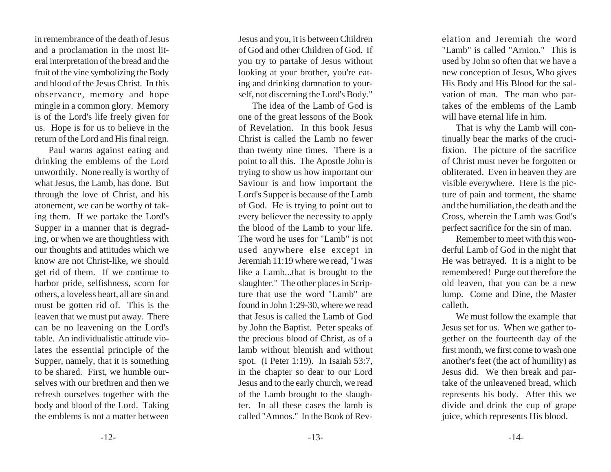in remembrance of the death of Jesus and a proclamation in the most literal interpretation of the bread and the fruit of the vine symbolizing the Body and blood of the Jesus Christ. In this observance, memory and hope mingle in a common glory. Memory is of the Lord's life freely given for us. Hope is for us to believe in the return of the Lord and His final reign.

Paul warns against eating and drinking the emblems of the Lord unworthily. None really is worthy of what Jesus, the Lamb, has done. But through the love of Christ, and his atonement, we can be worthy of taking them. If we partake the Lord's Supper in a manner that is degrading, or when we are thoughtless with our thoughts and attitudes which we know are not Christ-like, we should get rid of them. If we continue to harbor pride, selfishness, scorn for others, a loveless heart, all are sin and must be gotten rid of. This is the leaven that we must put away. There can be no leavening on the Lord's table. An individualistic attitude violates the essential principle of the Supper, namely, that it is something to be shared. First, we humble ourselves with our brethren and then we refresh ourselves together with the body and blood of the Lord. Taking the emblems is not a matter between

Jesus and you, it is between Children of God and other Children of God. If you try to partake of Jesus without looking at your brother, you're eating and drinking damnation to yourself, not discerning the Lord's Body."

The idea of the Lamb of God is one of the great lessons of the Book of Revelation. In this book Jesus Christ is called the Lamb no fewer than twenty nine times. There is a point to all this. The Apostle John is trying to show us how important our Saviour is and how important the Lord's Supper is because of the Lamb of God. He is trying to point out to every believer the necessity to apply the blood of the Lamb to your life. The word he uses for "Lamb" is not used anywhere else except in Jeremiah 11:19 where we read, "I was like a Lamb...that is brought to the slaughter." The other places in Scripture that use the word "Lamb" are found in John 1:29-30, where we read that Jesus is called the Lamb of God by John the Baptist. Peter speaks of the precious blood of Christ, as of a lamb without blemish and without spot. (I Peter 1:19). In Isaiah 53:7, in the chapter so dear to our Lord Jesus and to the early church, we read of the Lamb brought to the slaughter. In all these cases the lamb is called "Amnos." In the Book of Revelation and Jeremiah the word "Lamb" is called "Arnion." This is used by John so often that we have a new conception of Jesus, Who gives His Body and His Blood for the sal vation of man. The man who par takes of the emblems of the Lamb will have eternal life in him.

That is why the Lamb will con tinually bear the marks of the cruci fixion. The picture of the sacrifice of Christ must never be forgotten or obliterated. Even in heaven they are visible everywhere. Here is the pic ture of pain and torment, the shame and the humiliation, the death and the Cross, wherein the Lamb was God's perfect sacrifice for the sin of man.

Remember to meet with this won derful Lamb of God in the night that He was betrayed. It is a night to be remembered! Purge out therefore the old leaven, that you can be a new lump. Come and Dine, the Master calleth.

We must follow the example that Jesus set for us. When we gather to gether on the fourteenth day of the first month, we first come to wash one another's feet (the act of humility) as Jesus did. We then break and par take of the unleavened bread, which represents his body. After this we divide and drink the cup of grape juice, which represents His blood.